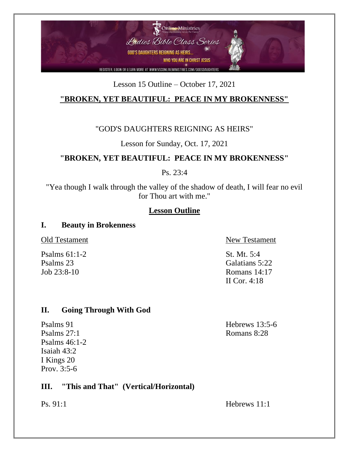

### Lesson 15 Outline – October 17, 2021

# **"BROKEN, YET BEAUTIFUL: PEACE IN MY BROKENNESS"**

### "GOD'S DAUGHTERS REIGNING AS HEIRS"

### Lesson for Sunday, Oct. 17, 2021

# **"BROKEN, YET BEAUTIFUL: PEACE IN MY BROKENNESS"**

Ps. 23:4

"Yea though I walk through the valley of the shadow of death, I will fear no evil for Thou art with me."

### **Lesson Outline**

#### **I. Beauty in Brokenness**

Psalms 61:1-2 St. Mt. 5:4

Old Testament New Testament

Psalms 23 Galatians 5:22 Job 23:8-10 Romans 14:17 II Cor. 4:18

### **II. Going Through With God**

Psalms 27:1 Romans 8:28 Psalms 46:1-2 Isaiah 43:2 I Kings 20 Prov. 3:5-6

## **III. "This and That" (Vertical/Horizontal)**

Psalms 91 Hebrews 13:5-6

Ps. 91:1 Hebrews 11:1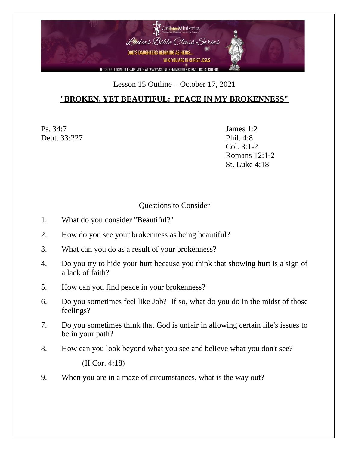

#### Lesson 15 Outline – October 17, 2021

## **"BROKEN, YET BEAUTIFUL: PEACE IN MY BROKENNESS"**

Ps. 34:7 James 1:2 Deut. 33:227 Phil. 4:8

Col. 3:1-2 Romans 12:1-2 St. Luke 4:18

#### Questions to Consider

- 1. What do you consider "Beautiful?"
- 2. How do you see your brokenness as being beautiful?
- 3. What can you do as a result of your brokenness?
- 4. Do you try to hide your hurt because you think that showing hurt is a sign of a lack of faith?
- 5. How can you find peace in your brokenness?
- 6. Do you sometimes feel like Job? If so, what do you do in the midst of those feelings?
- 7. Do you sometimes think that God is unfair in allowing certain life's issues to be in your path?
- 8. How can you look beyond what you see and believe what you don't see?

(II Cor. 4:18)

9. When you are in a maze of circumstances, what is the way out?